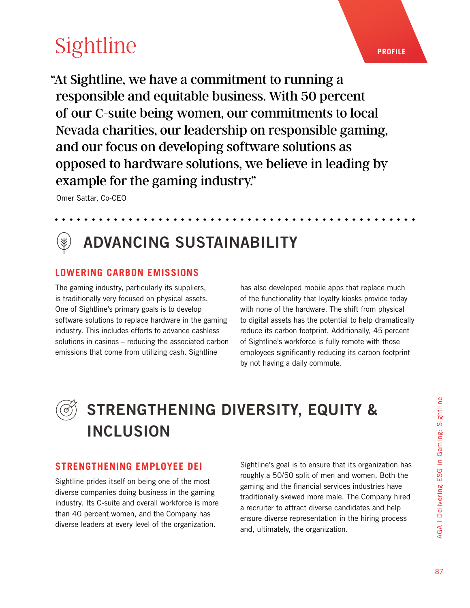# **[Sightline](https://www.sightlinepayments.com/ResponsibleGaming/)**

"At Sightline, we have a commitment to running a responsible and equitable business. With 50 percent of our C-suite being women, our commitments to local Nevada charities, our leadership on responsible gaming, and our focus on developing software solutions as opposed to hardware solutions, we believe in leading by example for the gaming industry."

Omer Sattar, Co-CEO

### ADVANCING SUSTAINABILITY

### **LOWERING CARBON EMISSIONS**

The gaming industry, particularly its suppliers, is traditionally very focused on physical assets. One of Sightline's primary goals is to develop software solutions to replace hardware in the gaming industry. This includes efforts to advance cashless solutions in casinos – reducing the associated carbon emissions that come from utilizing cash. Sightline

has also developed mobile apps that replace much of the functionality that loyalty kiosks provide today with none of the hardware. The shift from physical to digital assets has the potential to help dramatically reduce its carbon footprint. Additionally, 45 percent of Sightline's workforce is fully remote with those employees significantly reducing its carbon footprint by not having a daily commute.

### STRENGTHENING DIVERSITY, EQUITY & INCLUSION

#### **STRENGTHENING EMPLOYEE DEI**

Sightline prides itself on being one of the most diverse companies doing business in the gaming industry. Its C-suite and overall workforce is more than 40 percent women, and the Company has diverse leaders at every level of the organization.

Sightline's goal is to ensure that its organization has roughly a 50/50 split of men and women. Both the gaming and the financial services industries have traditionally skewed more male. The Company hired a recruiter to attract diverse candidates and help ensure diverse representation in the hiring process and, ultimately, the organization.